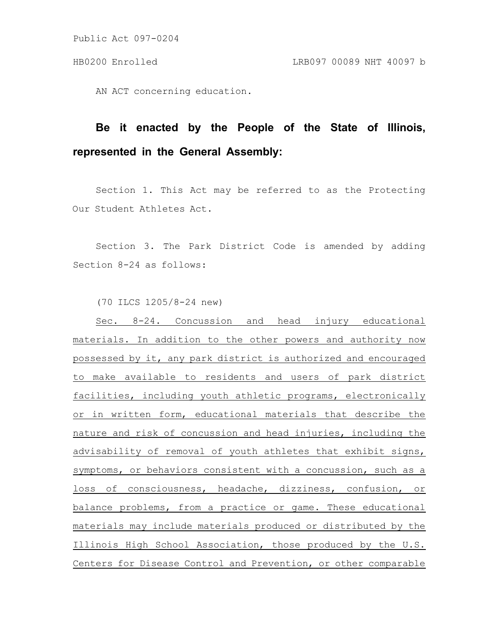Public Act 097-0204

AN ACT concerning education.

## **Be it enacted by the People of the State of Illinois, represented in the General Assembly:**

Section 1. This Act may be referred to as the Protecting Our Student Athletes Act.

Section 3. The Park District Code is amended by adding Section 8-24 as follows:

(70 ILCS 1205/8-24 new)

Sec. 8-24. Concussion and head injury educational materials. In addition to the other powers and authority now possessed by it, any park district is authorized and encouraged to make available to residents and users of park district facilities, including youth athletic programs, electronically or in written form, educational materials that describe the nature and risk of concussion and head injuries, including the advisability of removal of youth athletes that exhibit signs, symptoms, or behaviors consistent with a concussion, such as a loss of consciousness, headache, dizziness, confusion, or balance problems, from a practice or game. These educational materials may include materials produced or distributed by the Illinois High School Association, those produced by the U.S. Centers for Disease Control and Prevention, or other comparable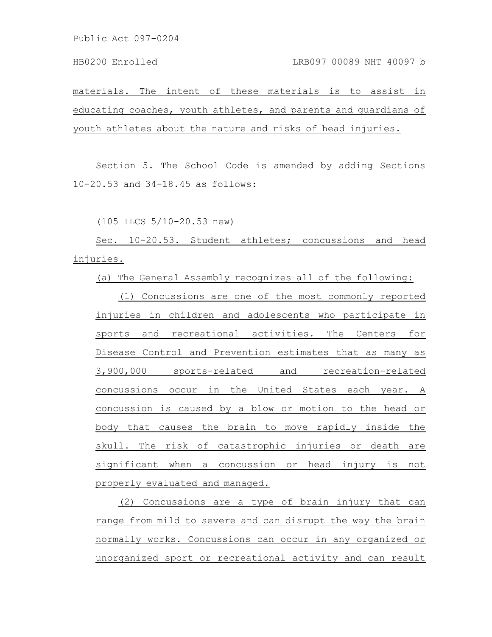materials. The intent of these materials is to assist in educating coaches, youth athletes, and parents and guardians of youth athletes about the nature and risks of head injuries.

Section 5. The School Code is amended by adding Sections 10-20.53 and 34-18.45 as follows:

(105 ILCS 5/10-20.53 new)

Sec. 10-20.53. Student athletes; concussions and head injuries.

(a) The General Assembly recognizes all of the following:

(1) Concussions are one of the most commonly reported injuries in children and adolescents who participate in sports and recreational activities. The Centers for Disease Control and Prevention estimates that as many as 3,900,000 sports-related and recreation-related concussions occur in the United States each year. A concussion is caused by a blow or motion to the head or body that causes the brain to move rapidly inside the skull. The risk of catastrophic injuries or death are significant when a concussion or head injury is not properly evaluated and managed.

(2) Concussions are a type of brain injury that can range from mild to severe and can disrupt the way the brain normally works. Concussions can occur in any organized or unorganized sport or recreational activity and can result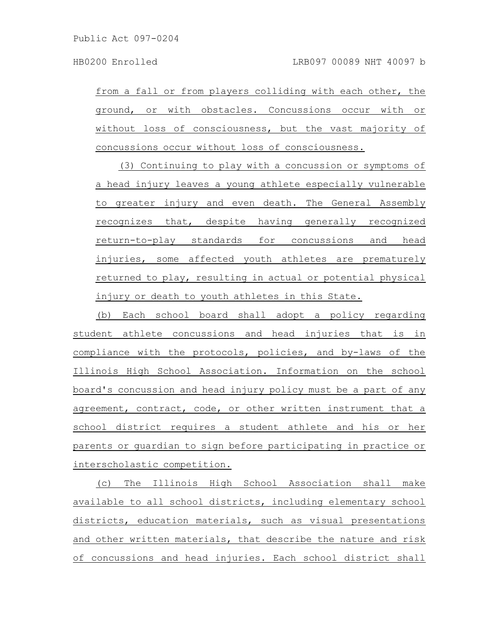from a fall or from players colliding with each other, the ground, or with obstacles. Concussions occur with or without loss of consciousness, but the vast majority of concussions occur without loss of consciousness.

(3) Continuing to play with a concussion or symptoms of a head injury leaves a young athlete especially vulnerable to greater injury and even death. The General Assembly recognizes that, despite having generally recognized return-to-play standards for concussions and head injuries, some affected youth athletes are prematurely returned to play, resulting in actual or potential physical injury or death to youth athletes in this State.

(b) Each school board shall adopt a policy regarding student athlete concussions and head injuries that is in compliance with the protocols, policies, and by-laws of the Illinois High School Association. Information on the school board's concussion and head injury policy must be a part of any agreement, contract, code, or other written instrument that a school district requires a student athlete and his or her parents or guardian to sign before participating in practice or interscholastic competition.

(c) The Illinois High School Association shall make available to all school districts, including elementary school districts, education materials, such as visual presentations and other written materials, that describe the nature and risk of concussions and head injuries. Each school district shall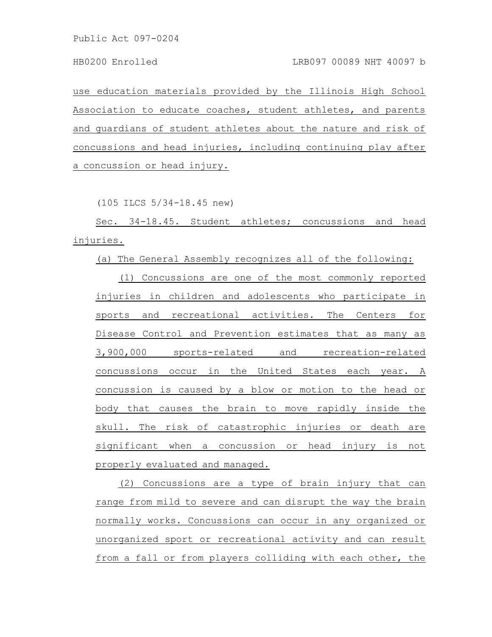Public Act 097-0204

use education materials provided by the Illinois High School Association to educate coaches, student athletes, and parents and guardians of student athletes about the nature and risk of concussions and head injuries, including continuing play after a concussion or head injury.

(105 ILCS 5/34-18.45 new)

Sec. 34-18.45. Student athletes; concussions and head injuries.

(a) The General Assembly recognizes all of the following:

(1) Concussions are one of the most commonly reported injuries in children and adolescents who participate in sports and recreational activities. The Centers for Disease Control and Prevention estimates that as many as 3,900,000 sports-related and recreation-related concussions occur in the United States each year. A concussion is caused by a blow or motion to the head or body that causes the brain to move rapidly inside the skull. The risk of catastrophic injuries or death are significant when a concussion or head injury is not properly evaluated and managed.

(2) Concussions are a type of brain injury that can range from mild to severe and can disrupt the way the brain normally works. Concussions can occur in any organized or unorganized sport or recreational activity and can result from a fall or from players colliding with each other, the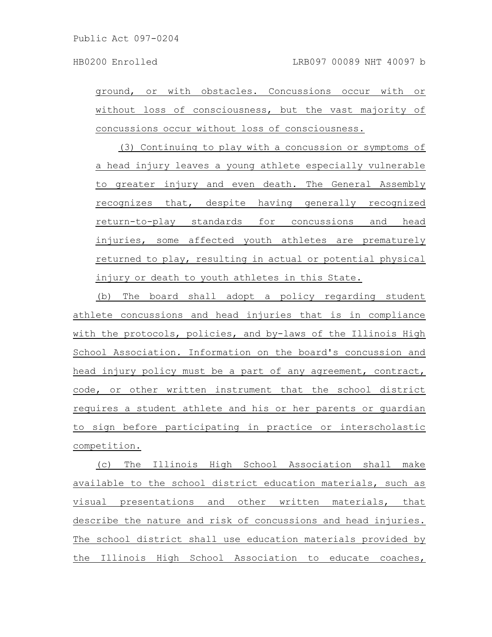ground, or with obstacles. Concussions occur with or without loss of consciousness, but the vast majority of concussions occur without loss of consciousness.

(3) Continuing to play with a concussion or symptoms of a head injury leaves a young athlete especially vulnerable to greater injury and even death. The General Assembly recognizes that, despite having generally recognized return-to-play standards for concussions and head injuries, some affected youth athletes are prematurely returned to play, resulting in actual or potential physical injury or death to youth athletes in this State.

(b) The board shall adopt a policy regarding student athlete concussions and head injuries that is in compliance with the protocols, policies, and by-laws of the Illinois High School Association. Information on the board's concussion and head injury policy must be a part of any agreement, contract, code, or other written instrument that the school district requires a student athlete and his or her parents or guardian to sign before participating in practice or interscholastic competition.

(c) The Illinois High School Association shall make available to the school district education materials, such as visual presentations and other written materials, that describe the nature and risk of concussions and head injuries. The school district shall use education materials provided by the Illinois High School Association to educate coaches,